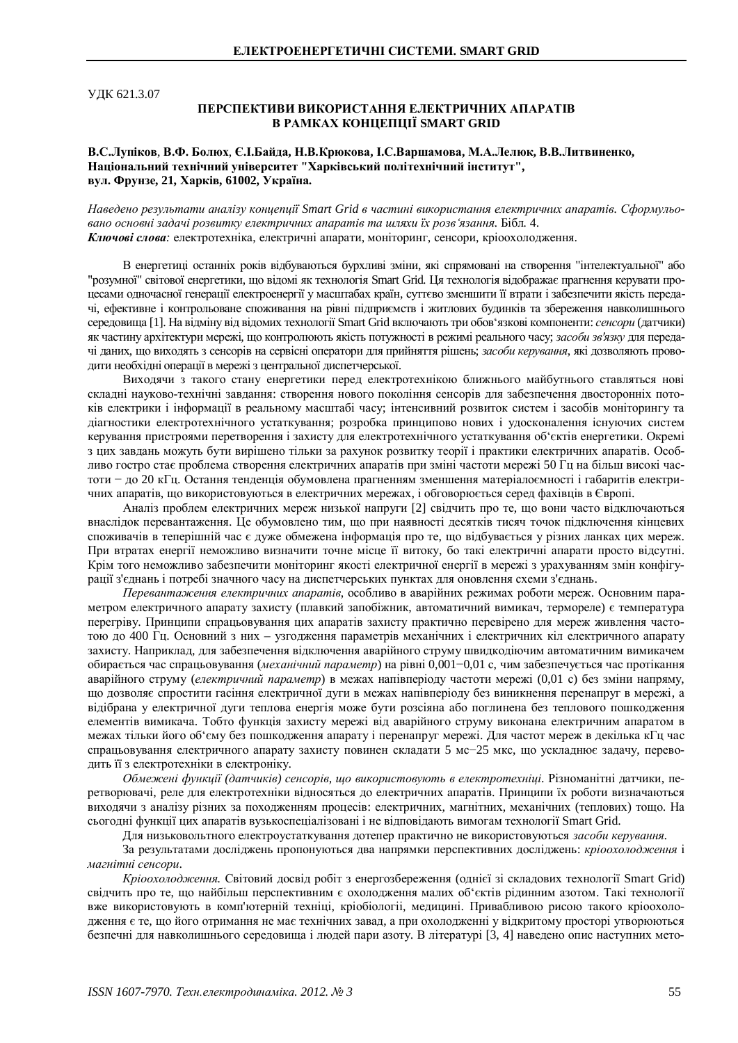УДК 621.3.07

## ПЕРСПЕКТИВИ ВИКОРИСТАННЯ ЕЛЕКТРИЧНИХ АПАРАТІВ **B PAMKAX KOHIIEIIIIIÏ SMART GRID**

## В.С.Лупіков, В.Ф. Болюх, Є.І.Байда, Н.В.Крюкова, І.С.Варшамова, М.А.Лелюк, В.В.Литвиненко, Національний технічний університет "Харківський політехнічний інститут", **вул.** Фрунзе, 21, Харків, 61002, Україна.

Наведено результати аналізу концепції Smart Grid в частині використання електричних апаратів. Сформульовано основні задачі розвитку електричних апаратів та шляхи їх розв'язання. Бібл. 4. Ключові слова: електротехніка, електричні апарати, моніторинг, сенсори, кріоохолодження.

В енергетиці останніх років відбуваються бурхливі зміни, які спрямовані на створення "інтелектуальної" або "розумної" світової енергетики, що відомі як технологія Smart Grid. Ця технологія відображає прагнення керувати процесами одночасної генерації електроенергії у масштабах країн, суттєво зменшити її втрати і забезпечити якість передачі, ефективне і контрольоване споживання на рівні підприємств і житлових будинків та збереження навколишнього середовища [1]. На відміну від відомих технології Smart Grid включають три обов'язкові компоненти: *сенсори* (датчики) як частину архітектури мережі, що контролюють якість потужності в режимі реального часу; засоби зв'язку для передачі даних, що виходять з сенсорів на сервісні оператори для прийняття рішень; *засоби керування*, які дозволяють проводити необхідні операції в мережі з центральної диспетчерської.

Виходячи з такого стану енергетики перед електротехнікою ближнього майбутнього ставляться нові складні науково-технічні завдання: створення нового покоління сенсорів для забезпечення двосторонніх потоків електрики і інформації в реальному масштабі часу; інтенсивний розвиток систем і засобів моніторингу та діагностики електротехнічного устаткування; розробка принципово нових і удосконалення існуючих систем керування пристроями перетворення і захисту для електротехнічного устаткування об'єктів енергетики. Окремі з цих завдань можуть бути вирішено тільки за рахунок розвитку теорії і практики електричних апаратів. Особливо гостро стає проблема створення електричних апаратів при зміні частоти мережі 50 Гц на більш високі частоти - до 20 кГц. Остання тенденція обумовлена прагненням зменшення матеріалоємності і габаритів електричних апаратів, що використовуються в електричних мережах, і обговорюється серед фахівців в Європі.

Аналіз проблем електричних мереж низької напруги [2] свідчить про те, що вони часто відключаються внаслідок перевантаження. Це обумовлено тим, що при наявності десятків тисяч точок підключення кінцевих споживачів в теперішній час є дуже обмежена інформація про те, що відбувається у різних ланках цих мереж. При втратах енергії неможливо визначити точне місце її витоку, бо такі електричні апарати просто відсутні. Крім того неможливо забезпечити моніторинг якості електричної енергії в мережі з урахуванням змін конфігурації з'єднань і потребі значного часу на диспетчерських пунктах для оновлення схеми з'єднань.

Перевантаження електричних апаратів, особливо в аварійних режимах роботи мереж. Основним параметром електричного апарату захисту (плавкий запобіжник, автоматичний вимикач, термореле) є температура перегріву. Принципи спрацьовування цих апаратів захисту практично перевірено для мереж живлення частотою до 400 Гц. Основний з них – узгодження параметрів механічних і електричних кіл електричного апарату захисту. Наприклад, для забезпечення відключення аварійного струму швидкодіючим автоматичним вимикачем обирається час спрацьовування (механічний параметр) на рівні 0,001–0,01 с, чим забезпечується час протікання аварійного струму (електричний параметр) в межах напівперіоду частоти мережі (0,01 с) без зміни напряму, що дозволяє спростити гасіння електричної дуги в межах напівперіоду без виникнення перенапруг в мережі, а відібрана у електричної дуги теплова енергія може бути розсіяна або поглинена без теплового пошкодження елементів вимикача. Тобто функція захисту мережі від аварійного струму виконана електричним апаратом в межах тільки його об'єму без пошкодження апарату і перенапруг мережі. Для частот мереж в декілька кГц час спрацьовування електричного апарату захисту повинен складати 5 мс-25 мкс, що ускладнює задачу, переводить її з електротехніки в електроніку.

Обмежені функції (датчиків) сенсорів, що використовують в електротехніці. Різноманітні датчики, перетворювачі, реле для електротехніки відносяться до електричних апаратів. Принципи їх роботи визначаються виходячи з аналізу різних за походженням процесів: електричних, магнітних, механічних (теплових) тощо. На сьогодні функції цих апаратів вузькоспеціалізовані і не відповідають вимогам технології Smart Grid.

Для низьковольтного електроустаткування дотепер практично не використовуються засоби керування.

За результатами досліджень пропонуються два напрямки перспективних досліджень: кріоохолодження і магнітні сенсори.

Кріоохолодження. Світовий досвід робіт з енергозбереження (однієї зі складових технології Smart Grid) свідчить про те, що найбільш перспективним є охолодження малих об'єктів рідинним азотом. Такі технології вже використовують в комп'ютерній техніці, кріобіологіі, медицині. Привабливою рисою такого кріоохолодження є те, що його отримання не має технічних завад, а при охолодженні у відкритому просторі утворюються безпечні для навколишнього середовища і людей пари азоту. В літературі [3, 4] наведено опис наступних мето